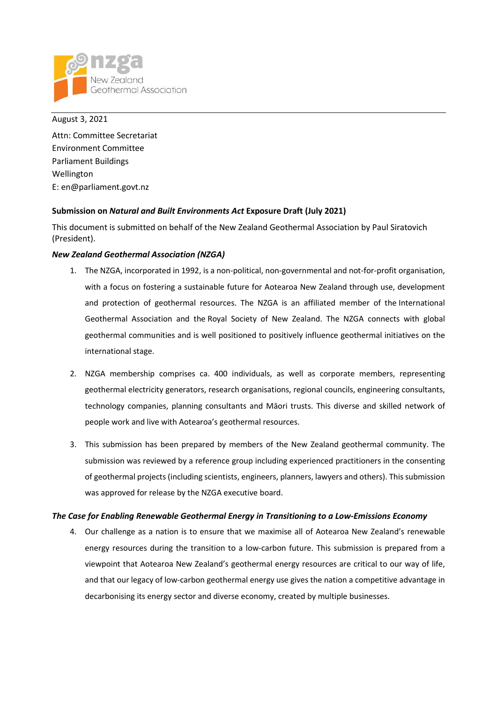

August 3, 2021 Attn: Committee Secretariat Environment Committee Parliament Buildings Wellington E: en@parliament.govt.nz

# **Submission on** *Natural and Built Environments Act* **Exposure Draft (July 2021)**

This document is submitted on behalf of the New Zealand Geothermal Association by Paul Siratovich (President).

# *New Zealand Geothermal Association (NZGA)*

- 1. The NZGA, incorporated in 1992, is a non-political, non-governmental and not-for-profit organisation, with a focus on fostering a sustainable future for Aotearoa New Zealand through use, development and protection of geothermal resources. The NZGA is an affiliated member of the [International](https://www.geothermal-energy.org/) [Geothermal](https://www.geothermal-energy.org/) Association and the Royal Society of New Zealand. The NZGA connects with global geothermal communities and is well positioned to positively influence geothermal initiatives on the international stage.
- 2. NZGA membership comprises ca. 400 individuals, as well as corporate members, representing geothermal electricity generators, research organisations, regional councils, engineering consultants, technology companies, planning consultants and Māori trusts. This diverse and skilled network of people work and live with Aotearoa's geothermal resources.
- 3. This submission has been prepared by members of the New Zealand geothermal community. The submission was reviewed by a reference group including experienced practitioners in the consenting of geothermal projects (including scientists, engineers, planners, lawyers and others). This submission was approved for release by the NZGA executive board.

## *The Case for Enabling Renewable Geothermal Energy in Transitioning to a Low-Emissions Economy*

4. Our challenge as a nation is to ensure that we maximise all of Aotearoa New Zealand's renewable energy resources during the transition to a low-carbon future. This submission is prepared from a viewpoint that Aotearoa New Zealand's geothermal energy resources are critical to our way of life, and that our legacy of low-carbon geothermal energy use gives the nation a competitive advantage in decarbonising its energy sector and diverse economy, created by multiple businesses.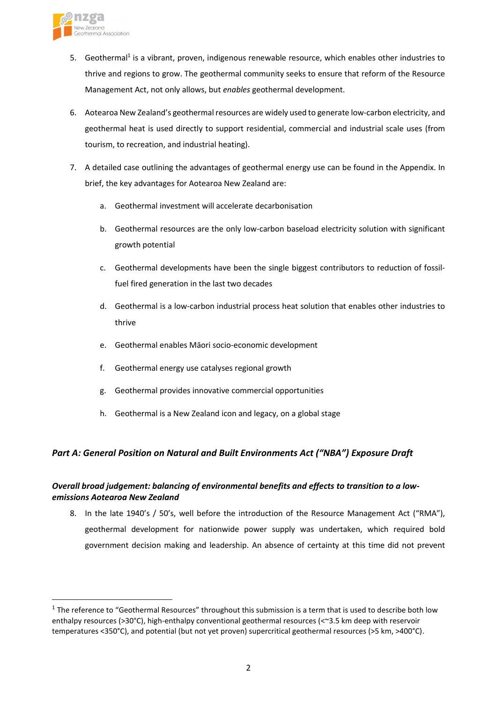

- 5. Geothermal<sup>1</sup> is a vibrant, proven, indigenous renewable resource, which enables other industries to thrive and regions to grow. The geothermal community seeks to ensure that reform of the Resource Management Act, not only allows, but *enables* geothermal development.
- 6. Aotearoa New Zealand's geothermal resources are widely used to generate low-carbon electricity, and geothermal heat is used directly to support residential, commercial and industrial scale uses (from tourism, to recreation, and industrial heating).
- 7. A detailed case outlining the advantages of geothermal energy use can be found in the Appendix. In brief, the key advantages for Aotearoa New Zealand are:
	- a. Geothermal investment will accelerate decarbonisation
	- b. Geothermal resources are the only low-carbon baseload electricity solution with significant growth potential
	- c. Geothermal developments have been the single biggest contributors to reduction of fossilfuel fired generation in the last two decades
	- d. Geothermal is a low-carbon industrial process heat solution that enables other industries to thrive
	- e. Geothermal enables Māori socio-economic development
	- f. Geothermal energy use catalyses regional growth
	- g. Geothermal provides innovative commercial opportunities
	- h. Geothermal is a New Zealand icon and legacy, on a global stage

# *Part A: General Position on Natural and Built Environments Act ("NBA") Exposure Draft*

# *Overall broad judgement: balancing of environmental benefits and effects to transition to a lowemissions Aotearoa New Zealand*

8. In the late 1940's / 50's, well before the introduction of the Resource Management Act ("RMA"), geothermal development for nationwide power supply was undertaken, which required bold government decision making and leadership. An absence of certainty at this time did not prevent

 $1$  The reference to "Geothermal Resources" throughout this submission is a term that is used to describe both low enthalpy resources (>30°C), high-enthalpy conventional geothermal resources (<~3.5 km deep with reservoir temperatures <350°C), and potential (but not yet proven) supercritical geothermal resources (>5 km, >400°C).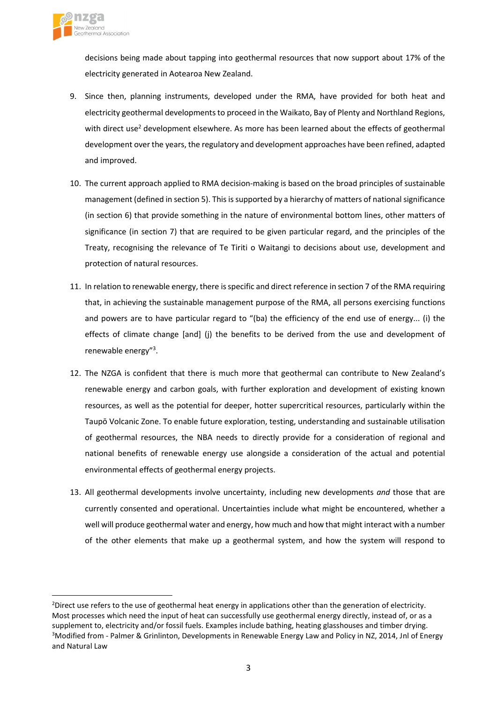

decisions being made about tapping into geothermal resources that now support about 17% of the electricity generated in Aotearoa New Zealand.

- 9. Since then, planning instruments, developed under the RMA, have provided for both heat and electricity geothermal developments to proceed in the Waikato, Bay of Plenty and Northland Regions, with direct use<sup>2</sup> development elsewhere. As more has been learned about the effects of geothermal development over the years, the regulatory and development approaches have been refined, adapted and improved.
- 10. The current approach applied to RMA decision-making is based on the broad principles of sustainable management (defined in section 5). This is supported by a hierarchy of matters of national significance (in section 6) that provide something in the nature of environmental bottom lines, other matters of significance (in section 7) that are required to be given particular regard, and the principles of the Treaty, recognising the relevance of Te Tiriti o Waitangi to decisions about use, development and protection of natural resources.
- 11. In relation to renewable energy, there isspecific and direct reference in section 7 of the RMA requiring that, in achieving the sustainable management purpose of the RMA, all persons exercising functions and powers are to have particular regard to "(ba) the efficiency of the end use of energy... (i) the effects of climate change [and] (j) the benefits to be derived from the use and development of renewable energy"<sup>3</sup> .
- 12. The NZGA is confident that there is much more that geothermal can contribute to New Zealand's renewable energy and carbon goals, with further exploration and development of existing known resources, as well as the potential for deeper, hotter supercritical resources, particularly within the Taupō Volcanic Zone. To enable future exploration, testing, understanding and sustainable utilisation of geothermal resources, the NBA needs to directly provide for a consideration of regional and national benefits of renewable energy use alongside a consideration of the actual and potential environmental effects of geothermal energy projects.
- 13. All geothermal developments involve uncertainty, including new developments *and* those that are currently consented and operational. Uncertainties include what might be encountered, whether a well will produce geothermal water and energy, how much and how that might interact with a number of the other elements that make up a geothermal system, and how the system will respond to

<sup>&</sup>lt;sup>2</sup>Direct use refers to the use of geothermal heat energy in applications other than the generation of electricity. Most processes which need the input of heat can successfully use geothermal energy directly, instead of, or as a supplement to, electricity and/or fossil fuels. Examples include bathing, heating glasshouses and timber drying. <sup>3</sup>Modified from - Palmer & Grinlinton, Developments in Renewable Energy Law and Policy in NZ, 2014, Jnl of Energy and Natural Law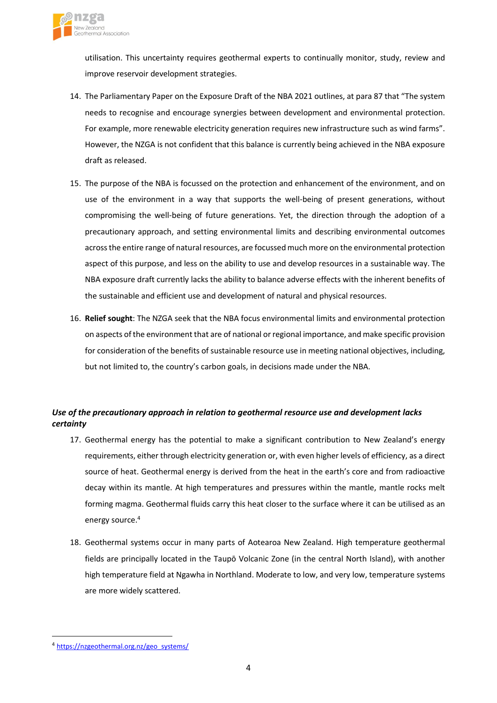

utilisation. This uncertainty requires geothermal experts to continually monitor, study, review and improve reservoir development strategies.

- 14. The Parliamentary Paper on the Exposure Draft of the NBA 2021 outlines, at para 87 that "The system needs to recognise and encourage synergies between development and environmental protection. For example, more renewable electricity generation requires new infrastructure such as wind farms". However, the NZGA is not confident that this balance is currently being achieved in the NBA exposure draft as released.
- 15. The purpose of the NBA is focussed on the protection and enhancement of the environment, and on use of the environment in a way that supports the well-being of present generations, without compromising the well-being of future generations. Yet, the direction through the adoption of a precautionary approach, and setting environmental limits and describing environmental outcomes across the entire range of natural resources, are focussed much more on the environmental protection aspect of this purpose, and less on the ability to use and develop resources in a sustainable way. The NBA exposure draft currently lacks the ability to balance adverse effects with the inherent benefits of the sustainable and efficient use and development of natural and physical resources.
- 16. **Relief sought**: The NZGA seek that the NBA focus environmental limits and environmental protection on aspects of the environment that are of national orregional importance, and make specific provision for consideration of the benefits of sustainable resource use in meeting national objectives, including, but not limited to, the country's carbon goals, in decisions made under the NBA.

# *Use of the precautionary approach in relation to geothermal resource use and development lacks certainty*

- 17. Geothermal energy has the potential to make a significant contribution to New Zealand's energy requirements, either through electricity generation or, with even higher levels of efficiency, as a direct source of heat. Geothermal energy is derived from the heat in the earth's core and from radioactive decay within its mantle. At high temperatures and pressures within the mantle, mantle rocks melt forming magma. Geothermal fluids carry this heat closer to the surface where it can be utilised as an energy source.<sup>4</sup>
- 18. Geothermal systems occur in many parts of Aotearoa New Zealand. High temperature geothermal fields are principally located in the Taupō Volcanic Zone (in the central North Island), with another high temperature field at Ngawha in Northland. Moderate to low, and very low, temperature systems are more widely scattered.

<sup>4</sup> [https://nzgeothermal.org.nz/geo\\_systems/](https://nzgeothermal.org.nz/geo_systems/)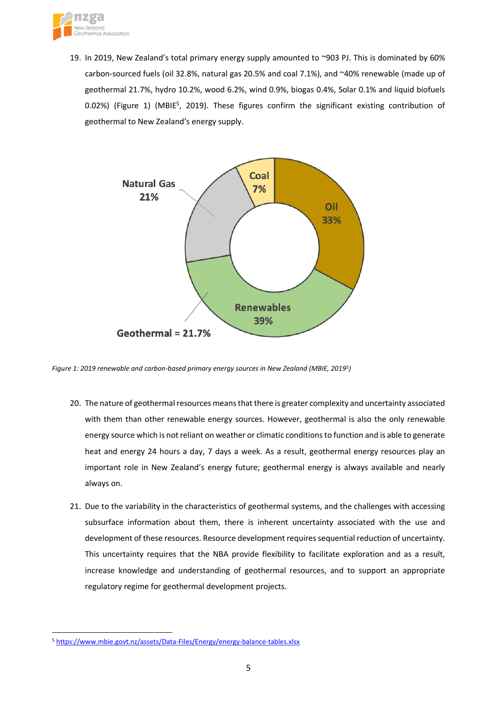

19. In 2019, New Zealand's total primary energy supply amounted to ~903 PJ. This is dominated by 60% carbon-sourced fuels (oil 32.8%, natural gas 20.5% and coal 7.1%), and ~40% renewable (made up of geothermal 21.7%, hydro 10.2%, wood 6.2%, wind 0.9%, biogas 0.4%, Solar 0.1% and liquid biofuels 0.02%) [\(Figure](#page-4-0) 1) (MBIE<sup>5</sup>, 2019). These figures confirm the significant existing contribution of geothermal to New Zealand's energy supply.



<span id="page-4-0"></span>*Figure 1: 2019 renewable and carbon-based primary energy sources in New Zealand (MBIE, 2019<sup>5</sup> )*

- 20. The nature of geothermal resources means that there is greater complexity and uncertainty associated with them than other renewable energy sources. However, geothermal is also the only renewable energy source which is not reliant on weather or climatic conditionsto function and is able to generate heat and energy 24 hours a day, 7 days a week. As a result, geothermal energy resources play an important role in New Zealand's energy future; geothermal energy is always available and nearly always on.
- 21. Due to the variability in the characteristics of geothermal systems, and the challenges with accessing subsurface information about them, there is inherent uncertainty associated with the use and development of these resources. Resource development requires sequential reduction of uncertainty. This uncertainty requires that the NBA provide flexibility to facilitate exploration and as a result, increase knowledge and understanding of geothermal resources, and to support an appropriate regulatory regime for geothermal development projects.

<sup>5</sup> <https://www.mbie.govt.nz/assets/Data-Files/Energy/energy-balance-tables.xlsx>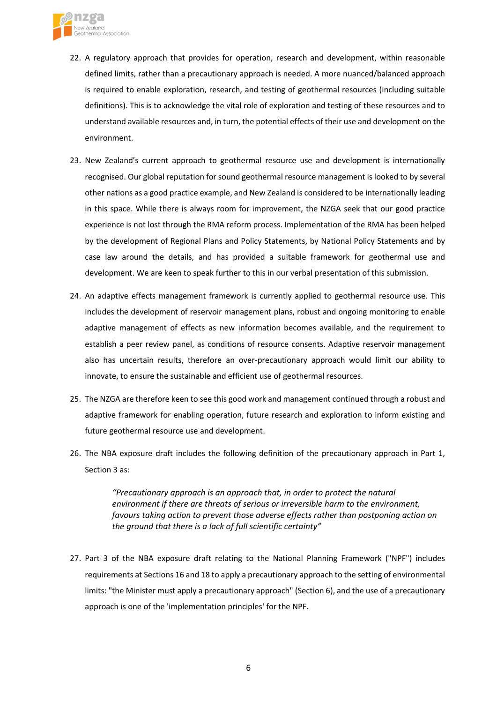

- 22. A regulatory approach that provides for operation, research and development, within reasonable defined limits, rather than a precautionary approach is needed. A more nuanced/balanced approach is required to enable exploration, research, and testing of geothermal resources (including suitable definitions). This is to acknowledge the vital role of exploration and testing of these resources and to understand available resources and, in turn, the potential effects of their use and development on the environment.
- 23. New Zealand's current approach to geothermal resource use and development is internationally recognised. Our global reputation for sound geothermal resource management is looked to by several other nations as a good practice example, and New Zealand is considered to be internationally leading in this space. While there is always room for improvement, the NZGA seek that our good practice experience is not lost through the RMA reform process. Implementation of the RMA has been helped by the development of Regional Plans and Policy Statements, by National Policy Statements and by case law around the details, and has provided a suitable framework for geothermal use and development. We are keen to speak further to this in our verbal presentation of this submission.
- 24. An adaptive effects management framework is currently applied to geothermal resource use. This includes the development of reservoir management plans, robust and ongoing monitoring to enable adaptive management of effects as new information becomes available, and the requirement to establish a peer review panel, as conditions of resource consents. Adaptive reservoir management also has uncertain results, therefore an over-precautionary approach would limit our ability to innovate, to ensure the sustainable and efficient use of geothermal resources.
- 25. The NZGA are therefore keen to see this good work and management continued through a robust and adaptive framework for enabling operation, future research and exploration to inform existing and future geothermal resource use and development.
- 26. The NBA exposure draft includes the following definition of the precautionary approach in Part 1, Section 3 as:

*"Precautionary approach is an approach that, in order to protect the natural environment if there are threats of serious or irreversible harm to the environment, favours taking action to prevent those adverse effects rather than postponing action on the ground that there is a lack of full scientific certainty"*

27. Part 3 of the NBA exposure draft relating to the National Planning Framework ("NPF") includes requirements at Sections 16 and 18 to apply a precautionary approach to the setting of environmental limits: "the Minister must apply a precautionary approach" (Section 6), and the use of a precautionary approach is one of the 'implementation principles' for the NPF.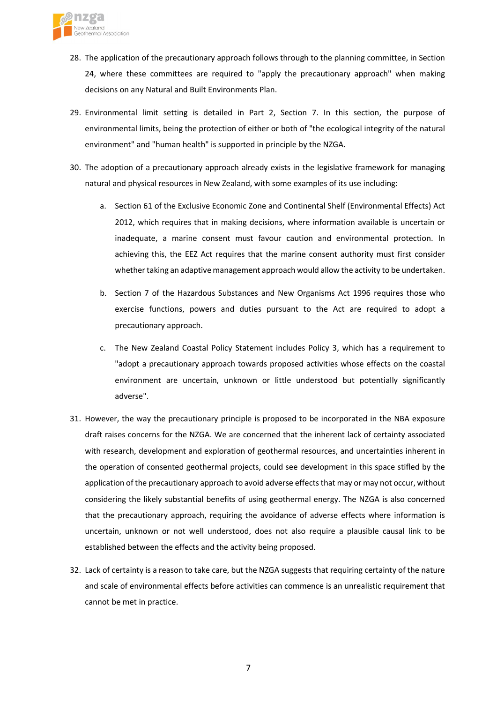

- 28. The application of the precautionary approach follows through to the planning committee, in Section 24, where these committees are required to "apply the precautionary approach" when making decisions on any Natural and Built Environments Plan.
- 29. Environmental limit setting is detailed in Part 2, Section 7. In this section, the purpose of environmental limits, being the protection of either or both of "the ecological integrity of the natural environment" and "human health" is supported in principle by the NZGA.
- 30. The adoption of a precautionary approach already exists in the legislative framework for managing natural and physical resources in New Zealand, with some examples of its use including:
	- a. Section 61 of the Exclusive Economic Zone and Continental Shelf (Environmental Effects) Act 2012, which requires that in making decisions, where information available is uncertain or inadequate, a marine consent must favour caution and environmental protection. In achieving this, the EEZ Act requires that the marine consent authority must first consider whether taking an adaptive management approach would allow the activity to be undertaken.
	- b. Section 7 of the Hazardous Substances and New Organisms Act 1996 requires those who exercise functions, powers and duties pursuant to the Act are required to adopt a precautionary approach.
	- c. The New Zealand Coastal Policy Statement includes Policy 3, which has a requirement to "adopt a precautionary approach towards proposed activities whose effects on the coastal environment are uncertain, unknown or little understood but potentially significantly adverse".
- 31. However, the way the precautionary principle is proposed to be incorporated in the NBA exposure draft raises concerns for the NZGA. We are concerned that the inherent lack of certainty associated with research, development and exploration of geothermal resources, and uncertainties inherent in the operation of consented geothermal projects, could see development in this space stifled by the application of the precautionary approach to avoid adverse effects that may or may not occur, without considering the likely substantial benefits of using geothermal energy. The NZGA is also concerned that the precautionary approach, requiring the avoidance of adverse effects where information is uncertain, unknown or not well understood, does not also require a plausible causal link to be established between the effects and the activity being proposed.
- 32. Lack of certainty is a reason to take care, but the NZGA suggests that requiring certainty of the nature and scale of environmental effects before activities can commence is an unrealistic requirement that cannot be met in practice.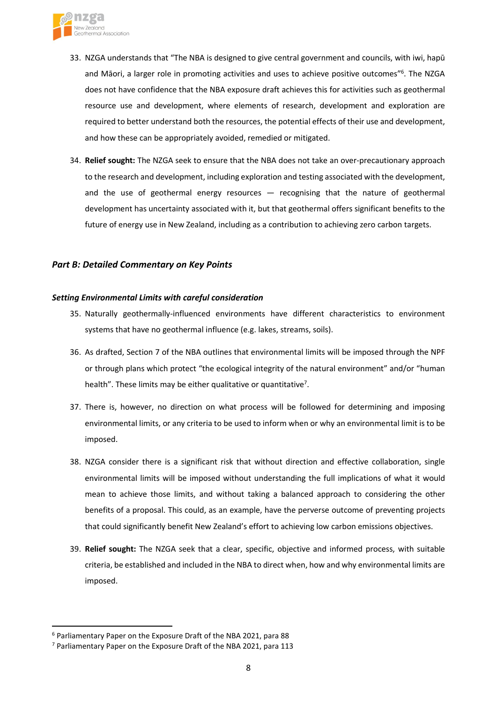

- 33. NZGA understands that "The NBA is designed to give central government and councils, with iwi, hapū and Māori, a larger role in promoting activities and uses to achieve positive outcomes"<sup>6</sup>. The NZGA does not have confidence that the NBA exposure draft achieves this for activities such as geothermal resource use and development, where elements of research, development and exploration are required to better understand both the resources, the potential effects of their use and development, and how these can be appropriately avoided, remedied or mitigated.
- 34. **Relief sought:** The NZGA seek to ensure that the NBA does not take an over-precautionary approach to the research and development, including exploration and testing associated with the development, and the use of geothermal energy resources — recognising that the nature of geothermal development has uncertainty associated with it, but that geothermal offers significant benefits to the future of energy use in New Zealand, including as a contribution to achieving zero carbon targets.

## *Part B: Detailed Commentary on Key Points*

### *Setting Environmental Limits with careful consideration*

- 35. Naturally geothermally-influenced environments have different characteristics to environment systems that have no geothermal influence (e.g. lakes, streams, soils).
- 36. As drafted, Section 7 of the NBA outlines that environmental limits will be imposed through the NPF or through plans which protect "the ecological integrity of the natural environment" and/or "human health". These limits may be either qualitative or quantitative<sup>7</sup>.
- 37. There is, however, no direction on what process will be followed for determining and imposing environmental limits, or any criteria to be used to inform when or why an environmental limit is to be imposed.
- 38. NZGA consider there is a significant risk that without direction and effective collaboration, single environmental limits will be imposed without understanding the full implications of what it would mean to achieve those limits, and without taking a balanced approach to considering the other benefits of a proposal. This could, as an example, have the perverse outcome of preventing projects that could significantly benefit New Zealand's effort to achieving low carbon emissions objectives.
- 39. **Relief sought:** The NZGA seek that a clear, specific, objective and informed process, with suitable criteria, be established and included in the NBA to direct when, how and why environmental limits are imposed.

<sup>6</sup> Parliamentary Paper on the Exposure Draft of the NBA 2021, para 88

 $7$  Parliamentary Paper on the Exposure Draft of the NBA 2021, para 113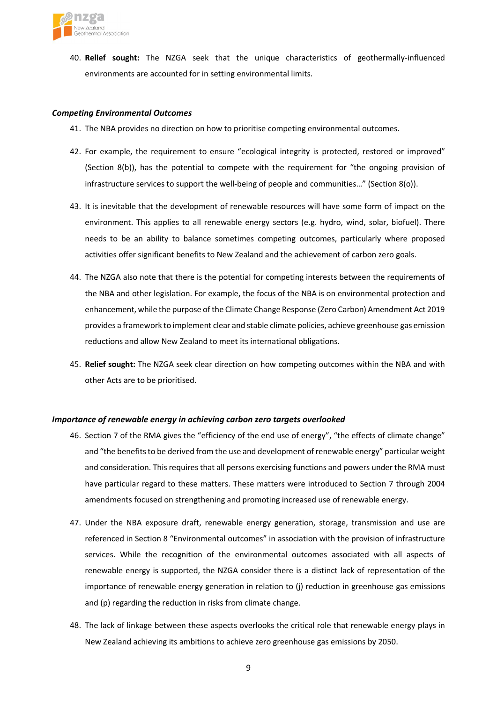

40. **Relief sought:** The NZGA seek that the unique characteristics of geothermally-influenced environments are accounted for in setting environmental limits.

### *Competing Environmental Outcomes*

- 41. The NBA provides no direction on how to prioritise competing environmental outcomes.
- 42. For example, the requirement to ensure "ecological integrity is protected, restored or improved" (Section 8(b)), has the potential to compete with the requirement for "the ongoing provision of infrastructure services to support the well-being of people and communities…" (Section 8(o)).
- 43. It is inevitable that the development of renewable resources will have some form of impact on the environment. This applies to all renewable energy sectors (e.g. hydro, wind, solar, biofuel). There needs to be an ability to balance sometimes competing outcomes, particularly where proposed activities offer significant benefits to New Zealand and the achievement of carbon zero goals.
- 44. The NZGA also note that there is the potential for competing interests between the requirements of the NBA and other legislation. For example, the focus of the NBA is on environmental protection and enhancement, while the purpose of the Climate Change Response (Zero Carbon) Amendment Act 2019 provides a framework to implement clear and stable climate policies, achieve greenhouse gas emission reductions and allow New Zealand to meet its international obligations.
- 45. **Relief sought:** The NZGA seek clear direction on how competing outcomes within the NBA and with other Acts are to be prioritised.

### *Importance of renewable energy in achieving carbon zero targets overlooked*

- 46. Section 7 of the RMA gives the "efficiency of the end use of energy", "the effects of climate change" and "the benefits to be derived from the use and development of renewable energy" particular weight and consideration. This requires that all persons exercising functions and powers under the RMA must have particular regard to these matters. These matters were introduced to Section 7 through 2004 amendments focused on strengthening and promoting increased use of renewable energy.
- 47. Under the NBA exposure draft, renewable energy generation, storage, transmission and use are referenced in Section 8 "Environmental outcomes" in association with the provision of infrastructure services. While the recognition of the environmental outcomes associated with all aspects of renewable energy is supported, the NZGA consider there is a distinct lack of representation of the importance of renewable energy generation in relation to (j) reduction in greenhouse gas emissions and (p) regarding the reduction in risks from climate change.
- 48. The lack of linkage between these aspects overlooks the critical role that renewable energy plays in New Zealand achieving its ambitions to achieve zero greenhouse gas emissions by 2050.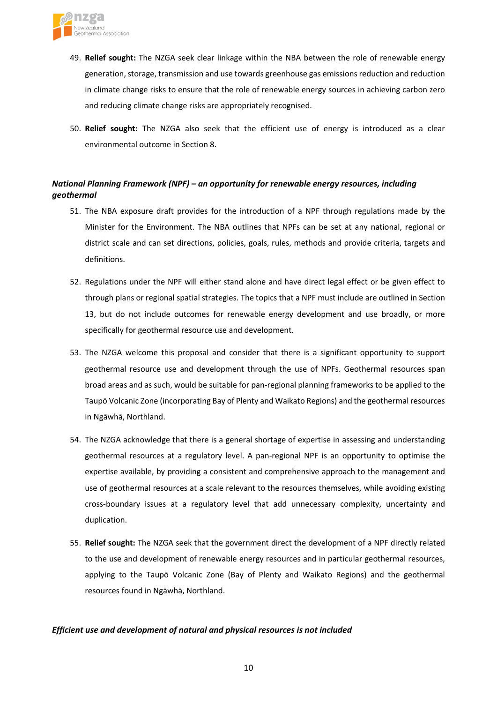

- 49. **Relief sought:** The NZGA seek clear linkage within the NBA between the role of renewable energy generation, storage, transmission and use towards greenhouse gas emissions reduction and reduction in climate change risks to ensure that the role of renewable energy sources in achieving carbon zero and reducing climate change risks are appropriately recognised.
- 50. **Relief sought:** The NZGA also seek that the efficient use of energy is introduced as a clear environmental outcome in Section 8.

# *National Planning Framework (NPF) – an opportunity for renewable energy resources, including geothermal*

- 51. The NBA exposure draft provides for the introduction of a NPF through regulations made by the Minister for the Environment. The NBA outlines that NPFs can be set at any national, regional or district scale and can set directions, policies, goals, rules, methods and provide criteria, targets and definitions.
- 52. Regulations under the NPF will either stand alone and have direct legal effect or be given effect to through plans or regional spatial strategies. The topics that a NPF must include are outlined in Section 13, but do not include outcomes for renewable energy development and use broadly, or more specifically for geothermal resource use and development.
- 53. The NZGA welcome this proposal and consider that there is a significant opportunity to support geothermal resource use and development through the use of NPFs. Geothermal resources span broad areas and as such, would be suitable for pan-regional planning frameworks to be applied to the Taupō Volcanic Zone (incorporating Bay of Plenty and Waikato Regions) and the geothermal resources in Ngāwhā, Northland.
- 54. The NZGA acknowledge that there is a general shortage of expertise in assessing and understanding geothermal resources at a regulatory level. A pan-regional NPF is an opportunity to optimise the expertise available, by providing a consistent and comprehensive approach to the management and use of geothermal resources at a scale relevant to the resources themselves, while avoiding existing cross-boundary issues at a regulatory level that add unnecessary complexity, uncertainty and duplication.
- 55. **Relief sought:** The NZGA seek that the government direct the development of a NPF directly related to the use and development of renewable energy resources and in particular geothermal resources, applying to the Taupō Volcanic Zone (Bay of Plenty and Waikato Regions) and the geothermal resources found in Ngāwhā, Northland.

## *Efficient use and development of natural and physical resources is not included*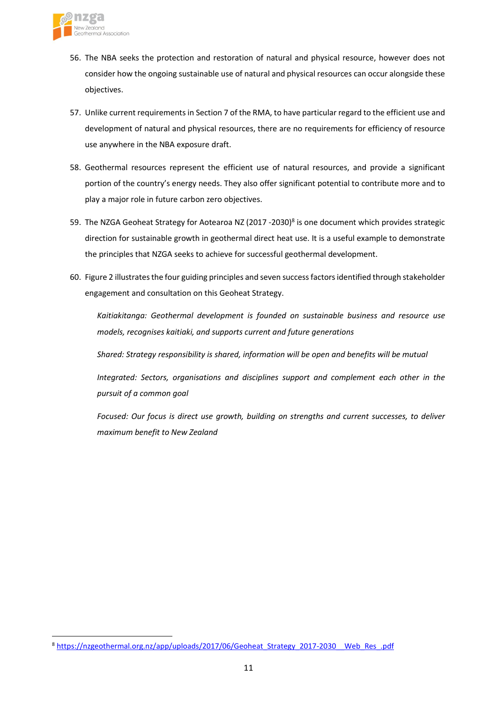

- 56. The NBA seeks the protection and restoration of natural and physical resource, however does not consider how the ongoing sustainable use of natural and physical resources can occur alongside these objectives.
- 57. Unlike current requirements in Section 7 of the RMA, to have particular regard to the efficient use and development of natural and physical resources, there are no requirements for efficiency of resource use anywhere in the NBA exposure draft.
- 58. Geothermal resources represent the efficient use of natural resources, and provide a significant portion of the country's energy needs. They also offer significant potential to contribute more and to play a major role in future carbon zero objectives.
- 59. The NZGA Geoheat Strategy for Aotearoa NZ (2017 -2030)<sup>8</sup> is one document which provides strategic direction for sustainable growth in geothermal direct heat use. It is a useful example to demonstrate the principles that NZGA seeks to achieve for successful geothermal development.
- 60. Figure 2 illustratesthe four guiding principles and seven successfactorsidentified through stakeholder engagement and consultation on this Geoheat Strategy.

*Kaitiakitanga: Geothermal development is founded on sustainable business and resource use models, recognises kaitiaki, and supports current and future generations*

*Shared: Strategy responsibility is shared, information will be open and benefits will be mutual*

*Integrated: Sectors, organisations and disciplines support and complement each other in the pursuit of a common goal*

*Focused: Our focus is direct use growth, building on strengths and current successes, to deliver maximum benefit to New Zealand*

<sup>8</sup> [https://nzgeothermal.org.nz/app/uploads/2017/06/Geoheat\\_Strategy\\_2017-2030\\_\\_Web\\_Res\\_.pdf](https://nzgeothermal.org.nz/app/uploads/2017/06/Geoheat_Strategy_2017-2030__Web_Res_.pdf)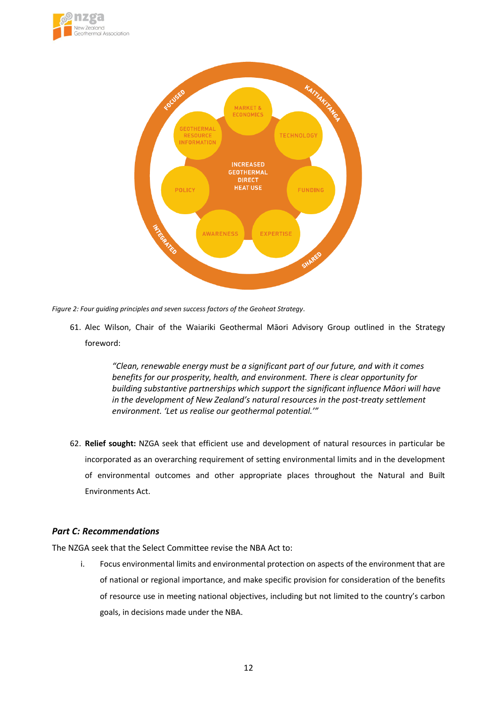



*Figure 2: Four guiding principles and seven success factors of the Geoheat Strategy.*

61. Alec Wilson, Chair of the Waiariki Geothermal Māori Advisory Group outlined in the Strategy foreword:

> *"Clean, renewable energy must be a significant part of our future, and with it comes benefits for our prosperity, health, and environment. There is clear opportunity for building substantive partnerships which support the significant influence Māori will have in the development of New Zealand's natural resources in the post-treaty settlement environment. 'Let us realise our geothermal potential.'"*

62. **Relief sought:** NZGA seek that efficient use and development of natural resources in particular be incorporated as an overarching requirement of setting environmental limits and in the development of environmental outcomes and other appropriate places throughout the Natural and Built Environments Act.

## *Part C: Recommendations*

The NZGA seek that the Select Committee revise the NBA Act to:

i. Focus environmental limits and environmental protection on aspects of the environment that are of national or regional importance, and make specific provision for consideration of the benefits of resource use in meeting national objectives, including but not limited to the country's carbon goals, in decisions made under the NBA.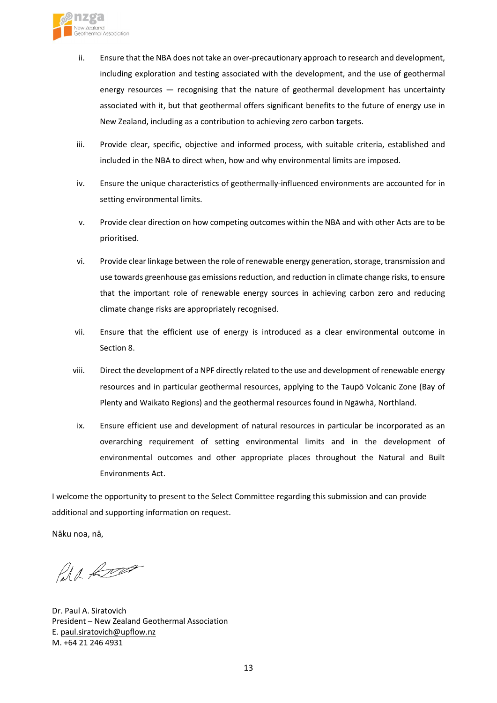

- ii. Ensure that the NBA does not take an over-precautionary approach to research and development, including exploration and testing associated with the development, and the use of geothermal energy resources — recognising that the nature of geothermal development has uncertainty associated with it, but that geothermal offers significant benefits to the future of energy use in New Zealand, including as a contribution to achieving zero carbon targets.
- iii. Provide clear, specific, objective and informed process, with suitable criteria, established and included in the NBA to direct when, how and why environmental limits are imposed.
- iv. Ensure the unique characteristics of geothermally-influenced environments are accounted for in setting environmental limits.
- v. Provide clear direction on how competing outcomes within the NBA and with other Acts are to be prioritised.
- vi. Provide clear linkage between the role of renewable energy generation, storage, transmission and use towards greenhouse gas emissions reduction, and reduction in climate change risks, to ensure that the important role of renewable energy sources in achieving carbon zero and reducing climate change risks are appropriately recognised.
- vii. Ensure that the efficient use of energy is introduced as a clear environmental outcome in Section 8.
- viii. Direct the development of a NPF directly related to the use and development ofrenewable energy resources and in particular geothermal resources, applying to the Taupō Volcanic Zone (Bay of Plenty and Waikato Regions) and the geothermal resources found in Ngāwhā, Northland.
- ix. Ensure efficient use and development of natural resources in particular be incorporated as an overarching requirement of setting environmental limits and in the development of environmental outcomes and other appropriate places throughout the Natural and Built Environments Act.

I welcome the opportunity to present to the Select Committee regarding this submission and can provide additional and supporting information on request.

Nāku noa, nā,

Para Room

Dr. Paul A. Siratovich President – New Zealand Geothermal Association E. [paul.siratovich@upflow.nz](mailto:paul.siratovich@upflow.nz) M. +64 21 246 4931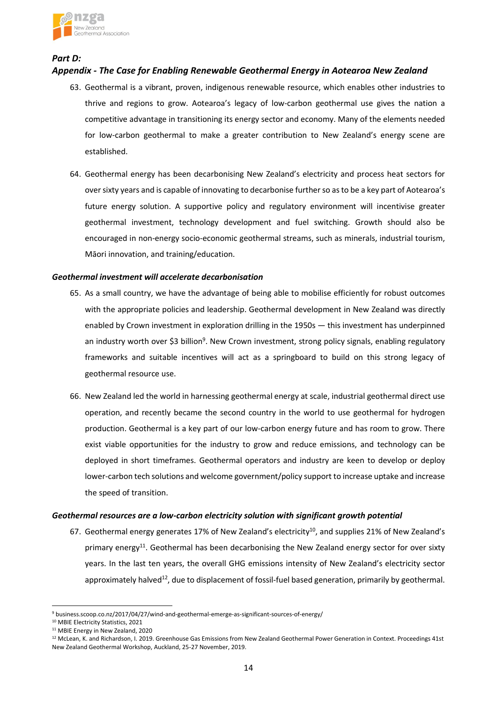

*Part D:* 

# *Appendix - The Case for Enabling Renewable Geothermal Energy in Aotearoa New Zealand*

- 63. Geothermal is a vibrant, proven, indigenous renewable resource, which enables other industries to thrive and regions to grow. Aotearoa's legacy of low-carbon geothermal use gives the nation a competitive advantage in transitioning its energy sector and economy. Many of the elements needed for low-carbon geothermal to make a greater contribution to New Zealand's energy scene are established.
- 64. Geothermal energy has been decarbonising New Zealand's electricity and process heat sectors for over sixty years and is capable of innovating to decarbonise further so as to be a key part of Aotearoa's future energy solution. A supportive policy and regulatory environment will incentivise greater geothermal investment, technology development and fuel switching. Growth should also be encouraged in non-energy socio-economic geothermal streams, such as minerals, industrial tourism, Māori innovation, and training/education.

## *Geothermal investment will accelerate decarbonisation*

- 65. As a small country, we have the advantage of being able to mobilise efficiently for robust outcomes with the appropriate policies and leadership. Geothermal development in New Zealand was directly enabled by Crown investment in exploration drilling in the 1950s — this investment has underpinned an industry worth over \$3 billion<sup>9</sup>. New Crown investment, strong policy signals, enabling regulatory frameworks and suitable incentives will act as a springboard to build on this strong legacy of geothermal resource use.
- 66. New Zealand led the world in harnessing geothermal energy at scale, industrial geothermal direct use operation, and recently became the second country in the world to use geothermal for hydrogen production. Geothermal is a key part of our low-carbon energy future and has room to grow. There exist viable opportunities for the industry to grow and reduce emissions, and technology can be deployed in short timeframes. Geothermal operators and industry are keen to develop or deploy lower-carbon tech solutions and welcome government/policy support to increase uptake and increase the speed of transition.

### *Geothermal resources are a low-carbon electricity solution with significant growth potential*

67. Geothermal energy generates 17% of New Zealand's electricity<sup>10</sup>, and supplies 21% of New Zealand's primary energy<sup>11</sup>. Geothermal has been decarbonising the New Zealand energy sector for over sixty years. In the last ten years, the overall GHG emissions intensity of New Zealand's electricity sector approximately halved<sup>12</sup>, due to displacement of fossil-fuel based generation, primarily by geothermal.

<sup>9</sup> business.scoop.co.nz/2017/04/27/wind-and-geothermal-emerge-as-significant-sources-of-energy/

<sup>10</sup> MBIE Electricity Statistics, 2021

<sup>&</sup>lt;sup>11</sup> MBIE Energy in New Zealand, 2020

<sup>&</sup>lt;sup>12</sup> McLean, K. and Richardson, I. 2019. Greenhouse Gas Emissions from New Zealand Geothermal Power Generation in Context. Proceedings 41st New Zealand Geothermal Workshop, Auckland, 25-27 November, 2019.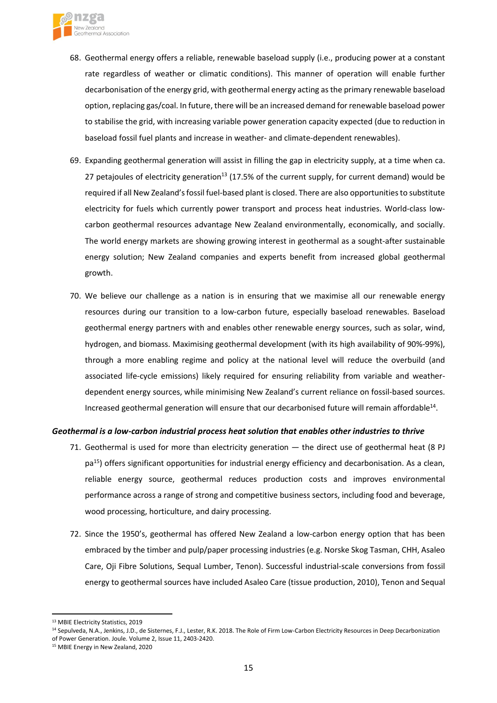

- 68. Geothermal energy offers a reliable, renewable baseload supply (i.e., producing power at a constant rate regardless of weather or climatic conditions). This manner of operation will enable further decarbonisation of the energy grid, with geothermal energy acting asthe primary renewable baseload option, replacing gas/coal. In future, there will be an increased demand for renewable baseload power to stabilise the grid, with increasing variable power generation capacity expected (due to reduction in baseload fossil fuel plants and increase in weather- and climate-dependent renewables).
- 69. Expanding geothermal generation will assist in filling the gap in electricity supply, at a time when ca. 27 petajoules of electricity generation<sup>13</sup> (17.5% of the current supply, for current demand) would be required if all New Zealand's fossil fuel-based plant is closed. There are also opportunities to substitute electricity for fuels which currently power transport and process heat industries. World-class lowcarbon geothermal resources advantage New Zealand environmentally, economically, and socially. The world energy markets are showing growing interest in geothermal as a sought-after sustainable energy solution; New Zealand companies and experts benefit from increased global geothermal growth.
- 70. We believe our challenge as a nation is in ensuring that we maximise all our renewable energy resources during our transition to a low-carbon future, especially baseload renewables. Baseload geothermal energy partners with and enables other renewable energy sources, such as solar, wind, hydrogen, and biomass. Maximising geothermal development (with its high availability of 90%-99%), through a more enabling regime and policy at the national level will reduce the overbuild (and associated life-cycle emissions) likely required for ensuring reliability from variable and weatherdependent energy sources, while minimising New Zealand's current reliance on fossil-based sources. Increased geothermal generation will ensure that our decarbonised future will remain affordable<sup>14</sup>.

### *Geothermal is a low-carbon industrial process heat solution that enables other industries to thrive*

- 71. Geothermal is used for more than electricity generation the direct use of geothermal heat (8 PJ pa<sup>15</sup>) offers significant opportunities for industrial energy efficiency and decarbonisation. As a clean, reliable energy source, geothermal reduces production costs and improves environmental performance across a range of strong and competitive business sectors, including food and beverage, wood processing, horticulture, and dairy processing.
- 72. Since the 1950's, geothermal has offered New Zealand a low-carbon energy option that has been embraced by the timber and pulp/paper processing industries (e.g. Norske Skog Tasman, CHH, Asaleo Care, Oji Fibre Solutions, Sequal Lumber, Tenon). Successful industrial-scale conversions from fossil energy to geothermal sources have included Asaleo Care (tissue production, 2010), Tenon and Sequal

<sup>13</sup> MBIE Electricity Statistics, 2019

<sup>&</sup>lt;sup>14</sup> Sepulveda, N.A., Jenkins, J.D., de Sisternes, F.J., Lester, R.K. 2018. The Role of Firm Low-Carbon Electricity Resources in Deep Decarbonization of Power Generation. Joule. Volume 2, Issue 11, 2403-2420.

<sup>15</sup> MBIE Energy in New Zealand, 2020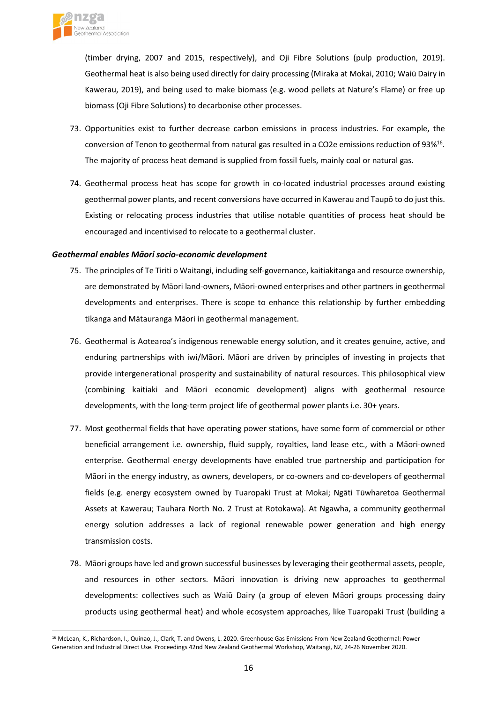

(timber drying, 2007 and 2015, respectively), and Oji Fibre Solutions (pulp production, 2019). Geothermal heat is also being used directly for dairy processing (Miraka at Mokai, 2010; Waiū Dairy in Kawerau, 2019), and being used to make biomass (e.g. wood pellets at Nature's Flame) or free up biomass (Oji Fibre Solutions) to decarbonise other processes.

- 73. Opportunities exist to further decrease carbon emissions in process industries. For example, the conversion of Tenon to geothermal from natural gas resulted in a CO2e emissions reduction of 93%<sup>16</sup>. The majority of process heat demand is supplied from fossil fuels, mainly coal or natural gas.
- 74. Geothermal process heat has scope for growth in co-located industrial processes around existing geothermal power plants, and recent conversions have occurred in Kawerau and Taupō to do just this. Existing or relocating process industries that utilise notable quantities of process heat should be encouraged and incentivised to relocate to a geothermal cluster.

#### *Geothermal enables Māori socio-economic development*

- 75. The principles of Te Tiriti o Waitangi, including self-governance, kaitiakitanga and resource ownership, are demonstrated by Māori land-owners, Māori-owned enterprises and other partners in geothermal developments and enterprises. There is scope to enhance this relationship by further embedding tikanga and Mātauranga Māori in geothermal management.
- 76. Geothermal is Aotearoa's indigenous renewable energy solution, and it creates genuine, active, and enduring partnerships with iwi/Māori. Māori are driven by principles of investing in projects that provide intergenerational prosperity and sustainability of natural resources. This philosophical view (combining kaitiaki and Māori economic development) aligns with geothermal resource developments, with the long-term project life of geothermal power plants i.e. 30+ years.
- 77. Most geothermal fields that have operating power stations, have some form of commercial or other beneficial arrangement i.e. ownership, fluid supply, royalties, land lease etc., with a Māori-owned enterprise. Geothermal energy developments have enabled true partnership and participation for Māori in the energy industry, as owners, developers, or co-owners and co-developers of geothermal fields (e.g. energy ecosystem owned by Tuaropaki Trust at Mokai; Ngāti Tūwharetoa Geothermal Assets at Kawerau; Tauhara North No. 2 Trust at Rotokawa). At Ngawha, a community geothermal energy solution addresses a lack of regional renewable power generation and high energy transmission costs.
- 78. Māori groups have led and grown successful businesses by leveraging their geothermal assets, people, and resources in other sectors. Māori innovation is driving new approaches to geothermal developments: collectives such as Waiū Dairy (a group of eleven Māori groups processing dairy products using geothermal heat) and whole ecosystem approaches, like Tuaropaki Trust (building a

<sup>&</sup>lt;sup>16</sup> McLean, K., Richardson, I., Quinao, J., Clark, T. and Owens, L. 2020. Greenhouse Gas Emissions From New Zealand Geothermal: Power Generation and Industrial Direct Use. Proceedings 42nd New Zealand Geothermal Workshop, Waitangi, NZ, 24-26 November 2020.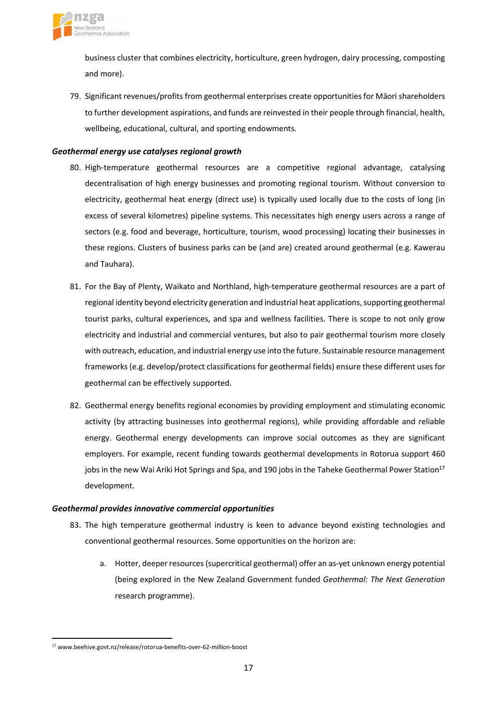

business cluster that combines electricity, horticulture, green hydrogen, dairy processing, composting and more).

79. Significant revenues/profits from geothermal enterprises create opportunities for Māori shareholders to further development aspirations, and funds are reinvested in their people through financial, health, wellbeing, educational, cultural, and sporting endowments.

## *Geothermal energy use catalyses regional growth*

- 80. High-temperature geothermal resources are a competitive regional advantage, catalysing decentralisation of high energy businesses and promoting regional tourism. Without conversion to electricity, geothermal heat energy (direct use) is typically used locally due to the costs of long (in excess of several kilometres) pipeline systems. This necessitates high energy users across a range of sectors (e.g. food and beverage, horticulture, tourism, wood processing) locating their businesses in these regions. Clusters of business parks can be (and are) created around geothermal (e.g. Kawerau and Tauhara).
- 81. For the Bay of Plenty, Waikato and Northland, high-temperature geothermal resources are a part of regional identity beyond electricity generation and industrial heat applications, supporting geothermal tourist parks, cultural experiences, and spa and wellness facilities. There is scope to not only grow electricity and industrial and commercial ventures, but also to pair geothermal tourism more closely with outreach, education, and industrial energy use into the future. Sustainable resource management frameworks(e.g. develop/protect classifications for geothermal fields) ensure these different uses for geothermal can be effectively supported.
- 82. Geothermal energy benefits regional economies by providing employment and stimulating economic activity (by attracting businesses into geothermal regions), while providing affordable and reliable energy. Geothermal energy developments can improve social outcomes as they are significant employers. For example, recent funding towards geothermal developments in Rotorua support 460 jobs in the new Wai Ariki Hot Springs and Spa, and 190 jobs in the Taheke Geothermal Power Station<sup>17</sup> development.

### *Geothermal provides innovative commercial opportunities*

- 83. The high temperature geothermal industry is keen to advance beyond existing technologies and conventional geothermal resources. Some opportunities on the horizon are:
	- a. Hotter, deeper resources(supercritical geothermal) offer an as-yet unknown energy potential (being explored in the New Zealand Government funded *Geothermal: The Next Generation* research programme).

<sup>17</sup> www.beehive.govt.nz/release/rotorua-benefits-over-62-million-boost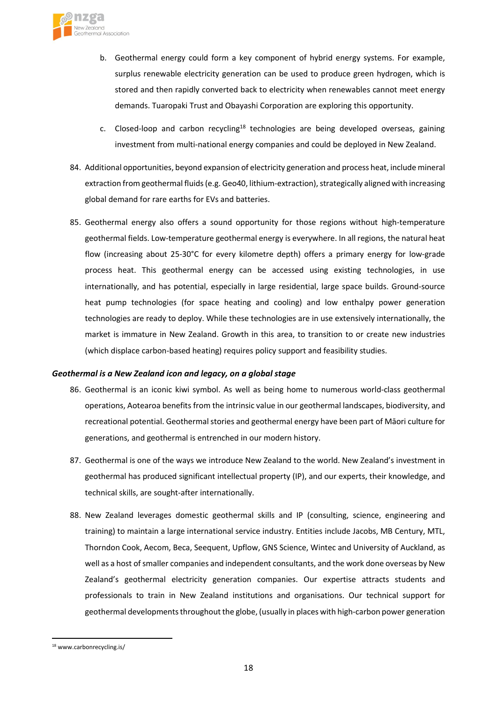

- b. Geothermal energy could form a key component of hybrid energy systems. For example, surplus renewable electricity generation can be used to produce green hydrogen, which is stored and then rapidly converted back to electricity when renewables cannot meet energy demands. Tuaropaki Trust and Obayashi Corporation are exploring this opportunity.
- c. Closed-loop and carbon recycling<sup>18</sup> technologies are being developed overseas, gaining investment from multi-national energy companies and could be deployed in New Zealand.
- 84. Additional opportunities, beyond expansion of electricity generation and process heat, include mineral extraction from geothermal fluids (e.g. Geo40, lithium-extraction), strategically aligned with increasing global demand for rare earths for EVs and batteries.
- 85. Geothermal energy also offers a sound opportunity for those regions without high-temperature geothermal fields. Low-temperature geothermal energy is everywhere. In all regions, the natural heat flow (increasing about 25-30°C for every kilometre depth) offers a primary energy for low-grade process heat. This geothermal energy can be accessed using existing technologies, in use internationally, and has potential, especially in large residential, large space builds. Ground-source heat pump technologies (for space heating and cooling) and low enthalpy power generation technologies are ready to deploy. While these technologies are in use extensively internationally, the market is immature in New Zealand. Growth in this area, to transition to or create new industries (which displace carbon-based heating) requires policy support and feasibility studies.

### *Geothermal is a New Zealand icon and legacy, on a global stage*

- 86. Geothermal is an iconic kiwi symbol. As well as being home to numerous world-class geothermal operations, Aotearoa benefits from the intrinsic value in our geothermal landscapes, biodiversity, and recreational potential. Geothermal stories and geothermal energy have been part of Māori culture for generations, and geothermal is entrenched in our modern history.
- 87. Geothermal is one of the ways we introduce New Zealand to the world. New Zealand's investment in geothermal has produced significant intellectual property (IP), and our experts, their knowledge, and technical skills, are sought-after internationally.
- 88. New Zealand leverages domestic geothermal skills and IP (consulting, science, engineering and training) to maintain a large international service industry. Entities include Jacobs, MB Century, MTL, Thorndon Cook, Aecom, Beca, Seequent, Upflow, GNS Science, Wintec and University of Auckland, as well as a host of smaller companies and independent consultants, and the work done overseas by New Zealand's geothermal electricity generation companies. Our expertise attracts students and professionals to train in New Zealand institutions and organisations. Our technical support for geothermal developments throughout the globe, (usually in places with high-carbon power generation

<sup>18</sup> www.carbonrecycling.is/